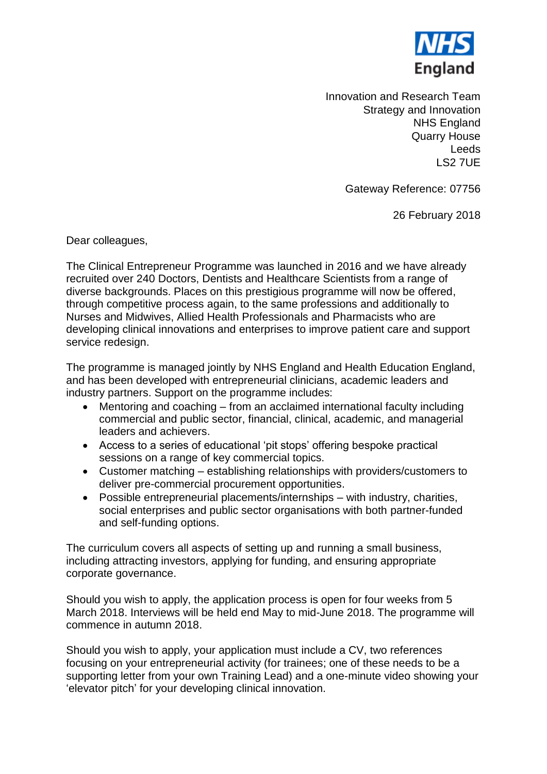

Innovation and Research Team Strategy and Innovation NHS England Quarry House Leeds LS2 7UE

Gateway Reference: 07756

26 February 2018

Dear colleagues,

The Clinical Entrepreneur Programme was launched in 2016 and we have already recruited over 240 Doctors, Dentists and Healthcare Scientists from a range of diverse backgrounds. Places on this prestigious programme will now be offered, through competitive process again, to the same professions and additionally to Nurses and Midwives, Allied Health Professionals and Pharmacists who are developing clinical innovations and enterprises to improve patient care and support service redesign.

The programme is managed jointly by NHS England and Health Education England, and has been developed with entrepreneurial clinicians, academic leaders and industry partners. Support on the programme includes:

- Mentoring and coaching from an acclaimed international faculty including commercial and public sector, financial, clinical, academic, and managerial leaders and achievers.
- Access to a series of educational 'pit stops' offering bespoke practical sessions on a range of key commercial topics.
- Customer matching establishing relationships with providers/customers to deliver pre-commercial procurement opportunities.
- Possible entrepreneurial placements/internships with industry, charities, social enterprises and public sector organisations with both partner-funded and self-funding options.

The curriculum covers all aspects of setting up and running a small business, including attracting investors, applying for funding, and ensuring appropriate corporate governance.

Should you wish to apply, the application process is open for four weeks from 5 March 2018. Interviews will be held end May to mid-June 2018. The programme will commence in autumn 2018.

Should you wish to apply, your application must include a CV, two references focusing on your entrepreneurial activity (for trainees; one of these needs to be a supporting letter from your own Training Lead) and a one-minute video showing your 'elevator pitch' for your developing clinical innovation.